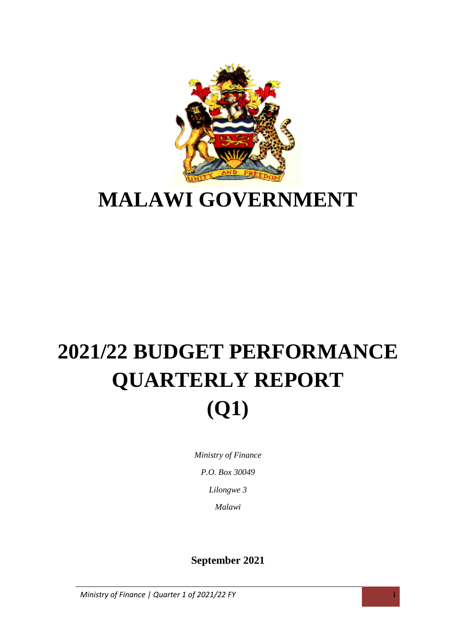

# **MALAWI GOVERNMENT**

# **2021/22 BUDGET PERFORMANCE QUARTERLY REPORT (Q1)**

*Ministry of Finance P.O. Box 30049 Lilongwe 3 Malawi*

### **September 2021**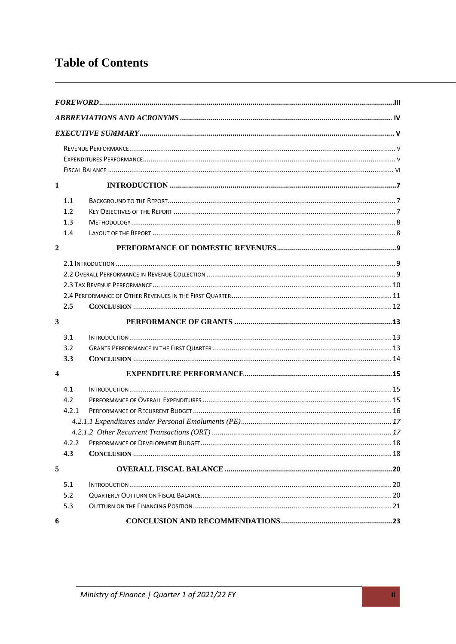### **Table of Contents**

| $\mathbf{1}$            |       |  |
|-------------------------|-------|--|
|                         | 1.1   |  |
|                         | 1.2   |  |
|                         | 1.3   |  |
|                         | 1.4   |  |
| $\boldsymbol{2}$        |       |  |
|                         |       |  |
|                         |       |  |
|                         |       |  |
|                         |       |  |
|                         | 2.5   |  |
| 3                       |       |  |
|                         | 3.1   |  |
|                         | 3.2   |  |
|                         | 3.3   |  |
| $\overline{\mathbf{4}}$ |       |  |
|                         | 4.1   |  |
|                         | 4.2   |  |
|                         | 4.2.1 |  |
|                         |       |  |
|                         |       |  |
|                         | 4.2.2 |  |
|                         | 4.3   |  |
| 5                       |       |  |
|                         | 5.1   |  |
|                         | 5.2   |  |
|                         | 5.3   |  |
| 6                       |       |  |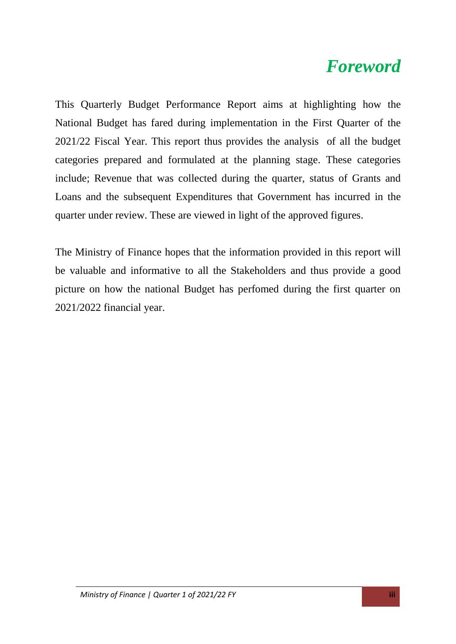### <span id="page-2-0"></span>*Foreword*

This Quarterly Budget Performance Report aims at highlighting how the National Budget has fared during implementation in the First Quarter of the 2021/22 Fiscal Year. This report thus provides the analysis of all the budget categories prepared and formulated at the planning stage. These categories include; Revenue that was collected during the quarter, status of Grants and Loans and the subsequent Expenditures that Government has incurred in the quarter under review. These are viewed in light of the approved figures.

The Ministry of Finance hopes that the information provided in this report will be valuable and informative to all the Stakeholders and thus provide a good picture on how the national Budget has perfomed during the first quarter on 2021/2022 financial year.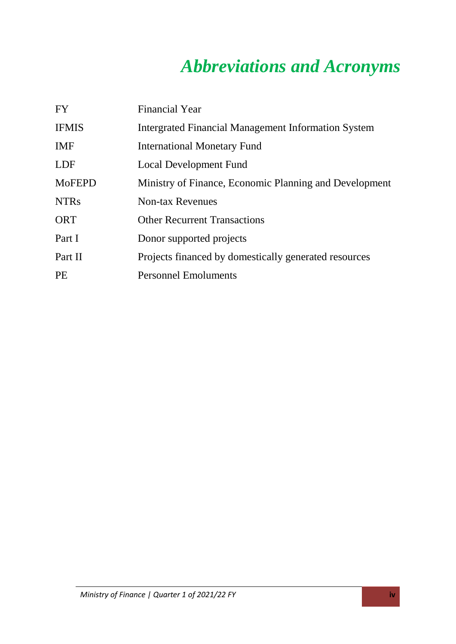## *Abbreviations and Acronyms*

<span id="page-3-0"></span>

| <b>FY</b>     | <b>Financial Year</b>                                      |
|---------------|------------------------------------------------------------|
| <b>IFMIS</b>  | <b>Intergrated Financial Management Information System</b> |
| <b>IMF</b>    | <b>International Monetary Fund</b>                         |
| <b>LDF</b>    | <b>Local Development Fund</b>                              |
| <b>MoFEPD</b> | Ministry of Finance, Economic Planning and Development     |
| <b>NTRs</b>   | <b>Non-tax Revenues</b>                                    |
| <b>ORT</b>    | <b>Other Recurrent Transactions</b>                        |
| Part I        | Donor supported projects                                   |
| Part II       | Projects financed by domestically generated resources      |
| PE            | <b>Personnel Emoluments</b>                                |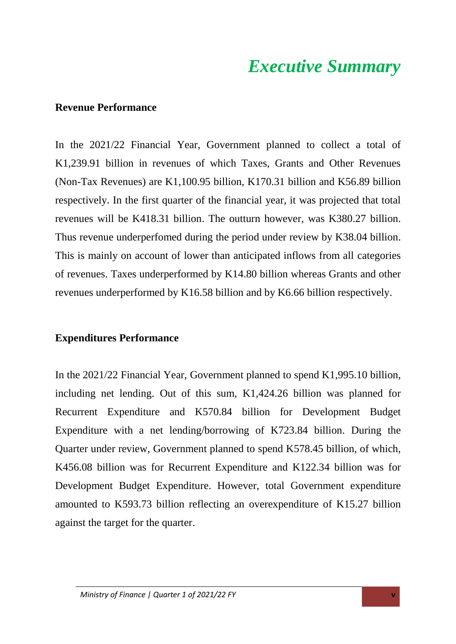### *Executive Summary*

#### <span id="page-4-1"></span><span id="page-4-0"></span>**Revenue Performance**

In the 2021/22 Financial Year, Government planned to collect a total of K1,239.91 billion in revenues of which Taxes, Grants and Other Revenues (Non-Tax Revenues) are K1,100.95 billion, K170.31 billion and K56.89 billion respectively. In the first quarter of the financial year, it was projected that total revenues will be K418.31 billion. The outturn however, was K380.27 billion. Thus revenue underperfomed during the period under review by K38.04 billion. This is mainly on account of lower than anticipated inflows from all categories of revenues. Taxes underperformed by K14.80 billion whereas Grants and other revenues underperformed by K16.58 billion and by K6.66 billion respectively.

### <span id="page-4-2"></span>**Expenditures Performance**

In the 2021/22 Financial Year, Government planned to spend K1,995.10 billion, including net lending. Out of this sum, K1,424.26 billion was planned for Recurrent Expenditure and K570.84 billion for Development Budget Expenditure with a net lending/borrowing of K723.84 billion. During the Quarter under review, Government planned to spend K578.45 billion, of which, K456.08 billion was for Recurrent Expenditure and K122.34 billion was for Development Budget Expenditure. However, total Government expenditure amounted to K593.73 billion reflecting an overexpenditure of K15.27 billion against the target for the quarter.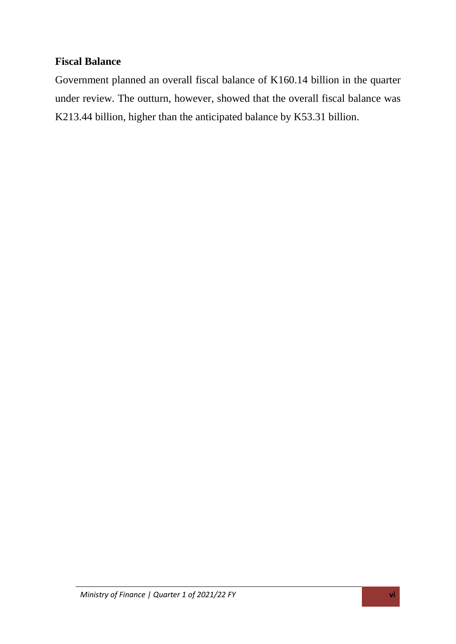### <span id="page-5-0"></span>**Fiscal Balance**

Government planned an overall fiscal balance of K160.14 billion in the quarter under review. The outturn, however, showed that the overall fiscal balance was K213.44 billion, higher than the anticipated balance by K53.31 billion.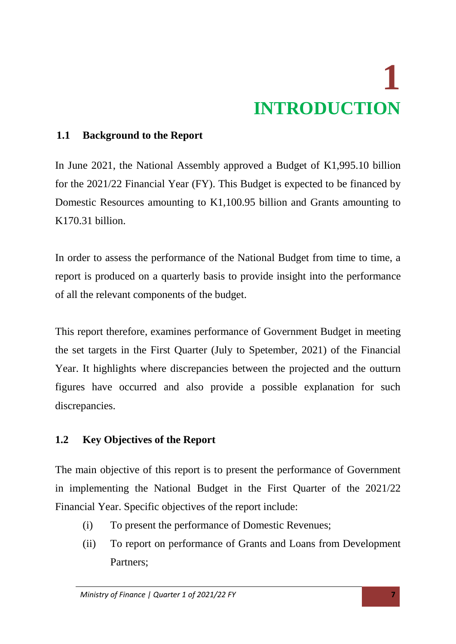# **1 INTRODUCTION**

### <span id="page-6-1"></span><span id="page-6-0"></span>**1.1 Background to the Report**

In June 2021, the National Assembly approved a Budget of K1,995.10 billion for the 2021/22 Financial Year (FY). This Budget is expected to be financed by Domestic Resources amounting to K1,100.95 billion and Grants amounting to K170.31 billion.

In order to assess the performance of the National Budget from time to time, a report is produced on a quarterly basis to provide insight into the performance of all the relevant components of the budget.

This report therefore, examines performance of Government Budget in meeting the set targets in the First Quarter (July to Spetember, 2021) of the Financial Year. It highlights where discrepancies between the projected and the outturn figures have occurred and also provide a possible explanation for such discrepancies.

### <span id="page-6-2"></span>**1.2 Key Objectives of the Report**

The main objective of this report is to present the performance of Government in implementing the National Budget in the First Quarter of the 2021/22 Financial Year. Specific objectives of the report include:

- (i) To present the performance of Domestic Revenues;
- (ii) To report on performance of Grants and Loans from Development Partners;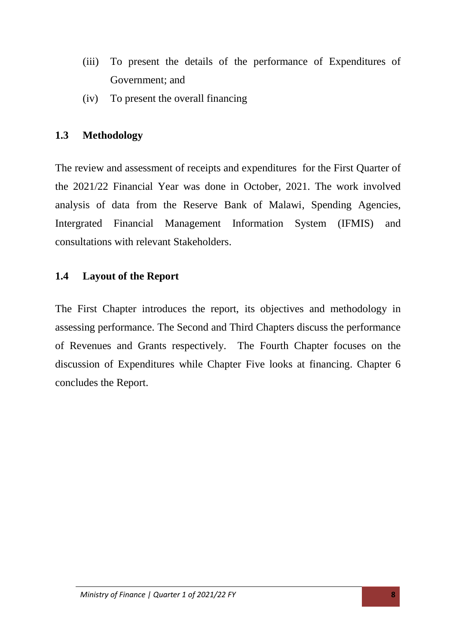- (iii) To present the details of the performance of Expenditures of Government; and
- (iv) To present the overall financing

### <span id="page-7-0"></span>**1.3 Methodology**

The review and assessment of receipts and expenditures for the First Quarter of the 2021/22 Financial Year was done in October, 2021. The work involved analysis of data from the Reserve Bank of Malawi, Spending Agencies, Intergrated Financial Management Information System (IFMIS) and consultations with relevant Stakeholders.

### <span id="page-7-1"></span>**1.4 Layout of the Report**

The First Chapter introduces the report, its objectives and methodology in assessing performance. The Second and Third Chapters discuss the performance of Revenues and Grants respectively. The Fourth Chapter focuses on the discussion of Expenditures while Chapter Five looks at financing. Chapter 6 concludes the Report.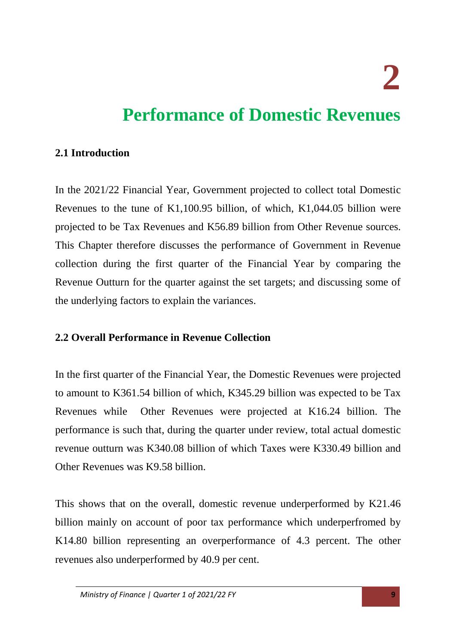**2** 

## <span id="page-8-0"></span>**Performance of Domestic Revenues**

### <span id="page-8-1"></span>**2.1 Introduction**

In the 2021/22 Financial Year, Government projected to collect total Domestic Revenues to the tune of K1,100.95 billion, of which, K1,044.05 billion were projected to be Tax Revenues and K56.89 billion from Other Revenue sources. This Chapter therefore discusses the performance of Government in Revenue collection during the first quarter of the Financial Year by comparing the Revenue Outturn for the quarter against the set targets; and discussing some of the underlying factors to explain the variances.

### <span id="page-8-2"></span>**2.2 Overall Performance in Revenue Collection**

In the first quarter of the Financial Year, the Domestic Revenues were projected to amount to K361.54 billion of which, K345.29 billion was expected to be Tax Revenues while Other Revenues were projected at K16.24 billion. The performance is such that, during the quarter under review, total actual domestic revenue outturn was K340.08 billion of which Taxes were K330.49 billion and Other Revenues was K9.58 billion.

This shows that on the overall, domestic revenue underperformed by K21.46 billion mainly on account of poor tax performance which underperfromed by K14.80 billion representing an overperformance of 4.3 percent. The other revenues also underperformed by 40.9 per cent.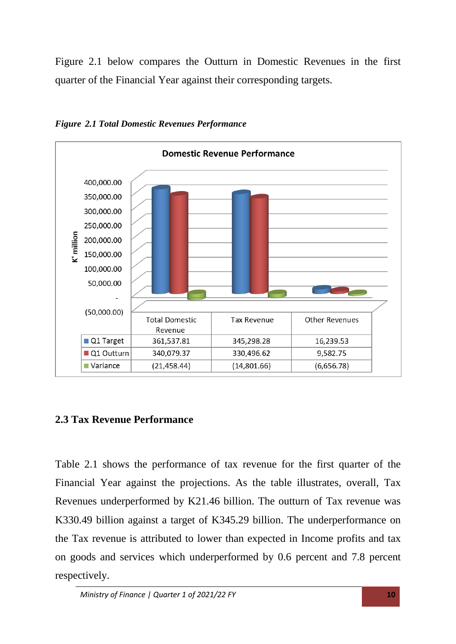Figure 2.1 below compares the Outturn in Domestic Revenues in the first quarter of the Financial Year against their corresponding targets.



*Figure 2.1 Total Domestic Revenues Performance* 

### <span id="page-9-0"></span>**2.3 Tax Revenue Performance**

Table 2.1 shows the performance of tax revenue for the first quarter of the Financial Year against the projections. As the table illustrates, overall, Tax Revenues underperformed by K21.46 billion. The outturn of Tax revenue was K330.49 billion against a target of K345.29 billion. The underperformance on the Tax revenue is attributed to lower than expected in Income profits and tax on goods and services which underperformed by 0.6 percent and 7.8 percent respectively.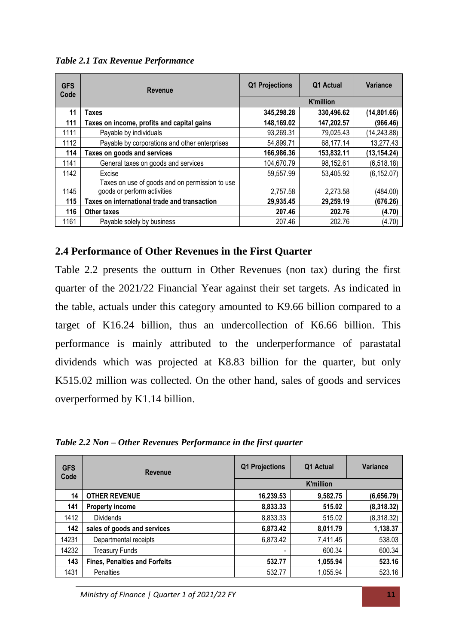| <b>GFS</b><br>Code | <b>Revenue</b>                                 | Q1 Projections   | Q1 Actual  | Variance     |
|--------------------|------------------------------------------------|------------------|------------|--------------|
|                    |                                                | <b>K'million</b> |            |              |
| 11                 | Taxes                                          | 345,298.28       | 330,496.62 | (14, 801.66) |
| 111                | Taxes on income, profits and capital gains     | 148,169.02       | 147,202.57 | (966.46)     |
| 1111               | Payable by individuals                         | 93,269.31        | 79,025.43  | (14, 243.88) |
| 1112               | Payable by corporations and other enterprises  | 54,899.71        | 68,177.14  | 13,277.43    |
| 114                | Taxes on goods and services                    | 166,986.36       | 153,832.11 | (13, 154.24) |
| 1141               | General taxes on goods and services            | 104,670.79       | 98.152.61  | (6,518.18)   |
| 1142               | Excise                                         | 59,557.99        | 53,405.92  | (6, 152.07)  |
|                    | Taxes on use of goods and on permission to use |                  |            |              |
| 1145               | goods or perform activities                    | 2,757.58         | 2,273.58   | (484.00)     |
| 115                | Taxes on international trade and transaction   | 29,935.45        | 29,259.19  | (676.26)     |
| 116                | <b>Other taxes</b>                             | 207.46           | 202.76     | (4.70)       |
| 1161               | Payable solely by business                     | 207.46           | 202.76     | (4.70)       |

*Table 2.1 Tax Revenue Performance*

### <span id="page-10-0"></span>**2.4 Performance of Other Revenues in the First Quarter**

Table 2.2 presents the outturn in Other Revenues (non tax) during the first quarter of the 2021/22 Financial Year against their set targets. As indicated in the table, actuals under this category amounted to K9.66 billion compared to a target of K16.24 billion, thus an undercollection of K6.66 billion. This performance is mainly attributed to the underperformance of parastatal dividends which was projected at K8.83 billion for the quarter, but only K515.02 million was collected. On the other hand, sales of goods and services overperformed by K1.14 billion.

*Table 2.2 Non – Other Revenues Performance in the first quarter*

| <b>GFS</b><br>Code | Revenue                              | <b>Projections</b><br>Q1 | Q1 Actual        | Variance   |
|--------------------|--------------------------------------|--------------------------|------------------|------------|
|                    |                                      |                          | <b>K'million</b> |            |
| 14                 | <b>OTHER REVENUE</b>                 | 16,239.53                | 9,582.75         | (6,656.79) |
| 141                | <b>Property income</b>               | 8,833.33                 | 515.02           | (8,318.32) |
| 1412               | <b>Dividends</b>                     | 8,833.33                 | 515.02           | (8,318.32) |
| 142                | sales of goods and services          | 6,873.42                 | 8,011.79         | 1,138.37   |
| 14231              | Departmental receipts                | 6,873.42                 | 7,411.45         | 538.03     |
| 14232              | Treasury Funds                       | $\overline{\phantom{0}}$ | 600.34           | 600.34     |
| 143                | <b>Fines, Penalties and Forfeits</b> | 532.77                   | 1,055.94         | 523.16     |
| 1431               | <b>Penalties</b>                     | 532.77                   | 1,055.94         | 523.16     |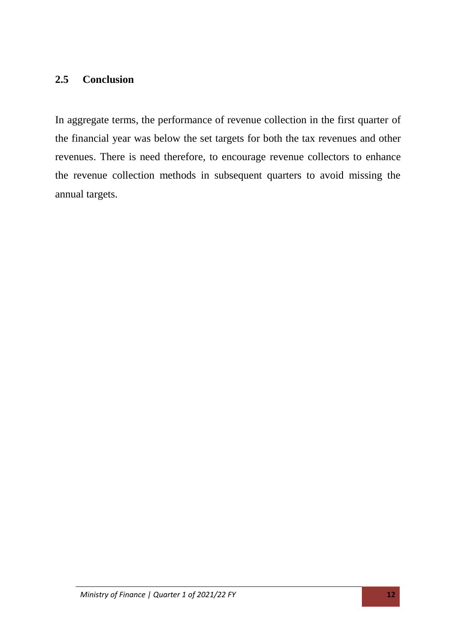### <span id="page-11-0"></span>**2.5 Conclusion**

In aggregate terms, the performance of revenue collection in the first quarter of the financial year was below the set targets for both the tax revenues and other revenues. There is need therefore, to encourage revenue collectors to enhance the revenue collection methods in subsequent quarters to avoid missing the annual targets.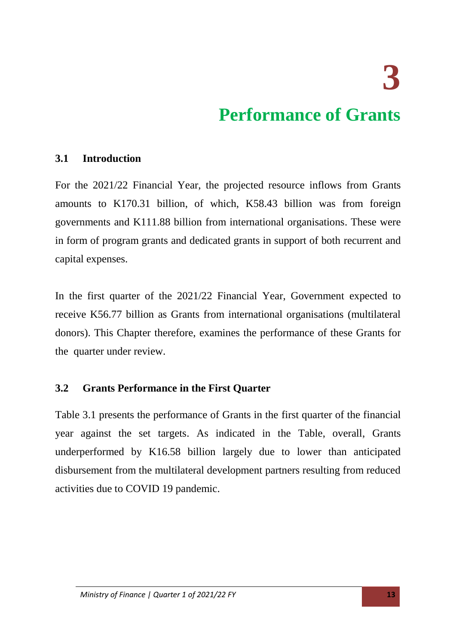**3** 

### **Performance of Grants**

### <span id="page-12-1"></span><span id="page-12-0"></span>**3.1 Introduction**

For the 2021/22 Financial Year, the projected resource inflows from Grants amounts to K170.31 billion, of which, K58.43 billion was from foreign governments and K111.88 billion from international organisations. These were in form of program grants and dedicated grants in support of both recurrent and capital expenses.

In the first quarter of the 2021/22 Financial Year, Government expected to receive K56.77 billion as Grants from international organisations (multilateral donors). This Chapter therefore, examines the performance of these Grants for the quarter under review.

### <span id="page-12-2"></span>**3.2 Grants Performance in the First Quarter**

Table 3.1 presents the performance of Grants in the first quarter of the financial year against the set targets. As indicated in the Table, overall, Grants underperformed by K16.58 billion largely due to lower than anticipated disbursement from the multilateral development partners resulting from reduced activities due to COVID 19 pandemic.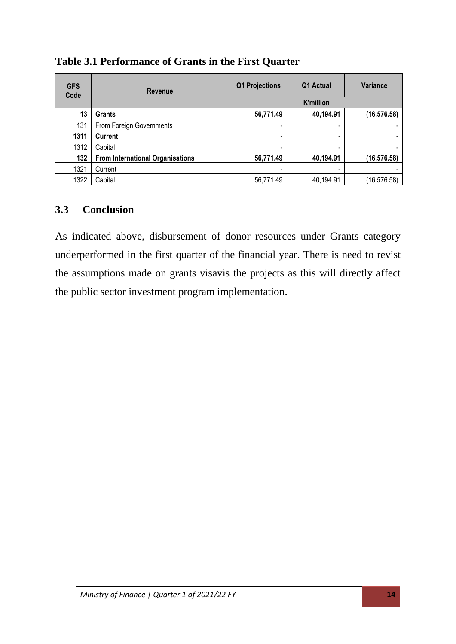| <b>GFS</b><br>Code | Revenue                                 | Q1 Projections           | Q1 Actual        | Variance     |  |
|--------------------|-----------------------------------------|--------------------------|------------------|--------------|--|
|                    |                                         |                          | <b>K'million</b> |              |  |
| 13                 | <b>Grants</b>                           | 56,771.49                | 40,194.91        | (16, 576.58) |  |
| 131                | From Foreign Governments                |                          | -                |              |  |
| 1311               | <b>Current</b>                          | ٠                        |                  |              |  |
| 1312               | Capital                                 | $\overline{\phantom{a}}$ | -                |              |  |
| 132                | <b>From International Organisations</b> | 56,771.49                | 40,194.91        | (16, 576.58) |  |
| 1321               | Current                                 | -                        | -                |              |  |
| 1322               | Capital                                 | 56,771.49                | 40,194.91        | (16, 576.58) |  |

### **Table 3.1 Performance of Grants in the First Quarter**

### <span id="page-13-0"></span>**3.3 Conclusion**

As indicated above, disbursement of donor resources under Grants category underperformed in the first quarter of the financial year. There is need to revist the assumptions made on grants visavis the projects as this will directly affect the public sector investment program implementation.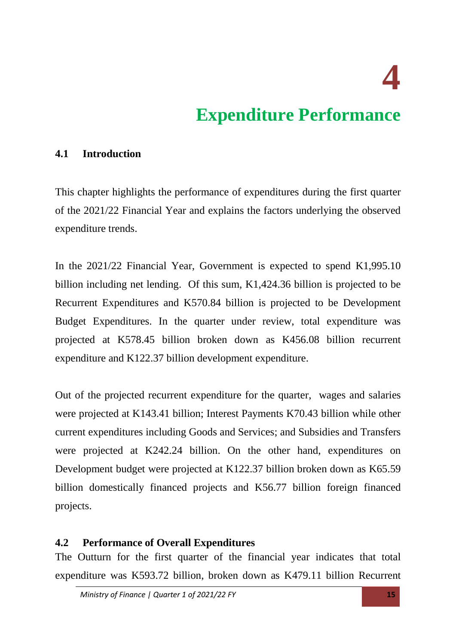**4** 

### **Expenditure Performance**

#### <span id="page-14-1"></span><span id="page-14-0"></span>**4.1 Introduction**

This chapter highlights the performance of expenditures during the first quarter of the 2021/22 Financial Year and explains the factors underlying the observed expenditure trends.

In the 2021/22 Financial Year, Government is expected to spend K1,995.10 billion including net lending. Of this sum, K1,424.36 billion is projected to be Recurrent Expenditures and K570.84 billion is projected to be Development Budget Expenditures. In the quarter under review, total expenditure was projected at K578.45 billion broken down as K456.08 billion recurrent expenditure and K122.37 billion development expenditure.

Out of the projected recurrent expenditure for the quarter, wages and salaries were projected at K143.41 billion; Interest Payments K70.43 billion while other current expenditures including Goods and Services; and Subsidies and Transfers were projected at K242.24 billion. On the other hand, expenditures on Development budget were projected at K122.37 billion broken down as K65.59 billion domestically financed projects and K56.77 billion foreign financed projects.

#### <span id="page-14-2"></span>**4.2 Performance of Overall Expenditures**

The Outturn for the first quarter of the financial year indicates that total expenditure was K593.72 billion, broken down as K479.11 billion Recurrent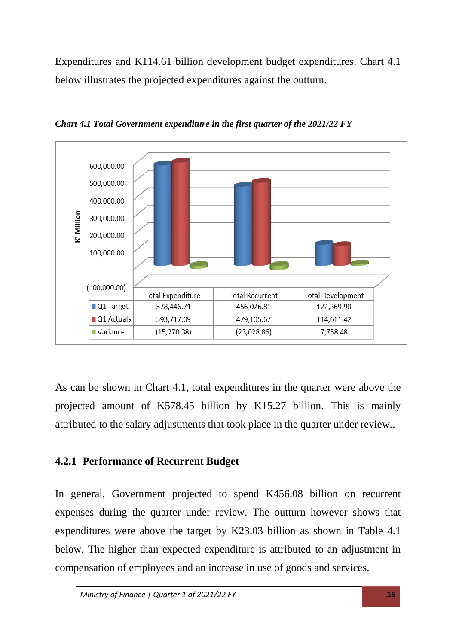Expenditures and K114.61 billion development budget expenditures. Chart 4.1 below illustrates the projected expenditures against the outturn.



*Chart 4.1 Total Government expenditure in the first quarter of the 2021/22 FY*

As can be shown in Chart 4.1, total expenditures in the quarter were above the projected amount of K578.45 billion by K15.27 billion. This is mainly attributed to the salary adjustments that took place in the quarter under review..

### <span id="page-15-0"></span>**4.2.1 Performance of Recurrent Budget**

In general, Government projected to spend K456.08 billion on recurrent expenses during the quarter under review. The outturn however shows that expenditures were above the target by K23.03 billion as shown in Table 4.1 below. The higher than expected expenditure is attributed to an adjustment in compensation of employees and an increase in use of goods and services.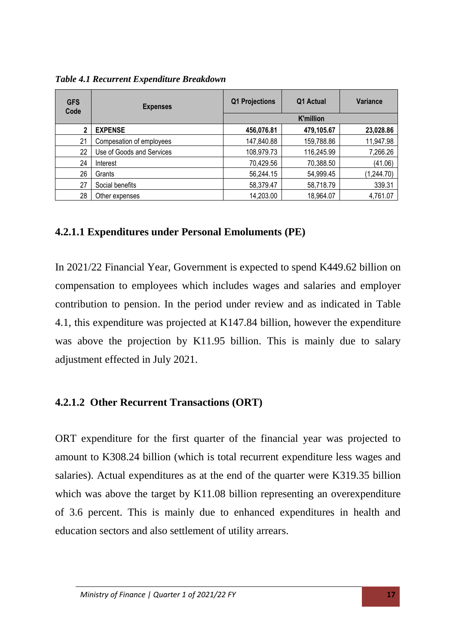*Table 4.1 Recurrent Expenditure Breakdown*

| <b>GFS</b><br>Code | <b>Expenses</b>           | <b>Q1 Projections</b> | Q1 Actual        | <b>Variance</b> |  |
|--------------------|---------------------------|-----------------------|------------------|-----------------|--|
|                    |                           |                       | <b>K'million</b> |                 |  |
| 2                  | <b>EXPENSE</b>            | 456,076.81            | 479,105.67       | 23,028.86       |  |
| 21                 | Compesation of employees  | 147,840.88            | 159,788.86       | 11,947.98       |  |
| 22                 | Use of Goods and Services | 108,979.73            | 116,245.99       | 7,266.26        |  |
| 24                 | Interest                  | 70,429.56             | 70,388.50        | (41.06)         |  |
| 26                 | Grants                    | 56,244.15             | 54,999.45        | (1,244.70)      |  |
| 27                 | Social benefits           | 58,379.47             | 58,718.79        | 339.31          |  |
| 28                 | Other expenses            | 14,203.00             | 18,964.07        | 4,761.07        |  |

### <span id="page-16-0"></span>**4.2.1.1 Expenditures under Personal Emoluments (PE)**

In 2021/22 Financial Year, Government is expected to spend K449.62 billion on compensation to employees which includes wages and salaries and employer contribution to pension. In the period under review and as indicated in Table 4.1, this expenditure was projected at K147.84 billion, however the expenditure was above the projection by K11.95 billion. This is mainly due to salary adjustment effected in July 2021.

### <span id="page-16-1"></span>**4.2.1.2 Other Recurrent Transactions (ORT)**

ORT expenditure for the first quarter of the financial year was projected to amount to K308.24 billion (which is total recurrent expenditure less wages and salaries). Actual expenditures as at the end of the quarter were K319.35 billion which was above the target by K11.08 billion representing an overexpenditure of 3.6 percent. This is mainly due to enhanced expenditures in health and education sectors and also settlement of utility arrears.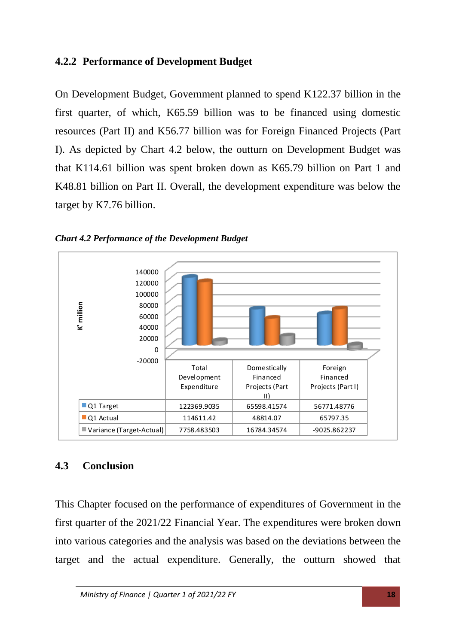### <span id="page-17-0"></span>**4.2.2 Performance of Development Budget**

On Development Budget, Government planned to spend K122.37 billion in the first quarter, of which, K65.59 billion was to be financed using domestic resources (Part II) and K56.77 billion was for Foreign Financed Projects (Part I). As depicted by Chart 4.2 below, the outturn on Development Budget was that K114.61 billion was spent broken down as K65.79 billion on Part 1 and K48.81 billion on Part II. Overall, the development expenditure was below the target by K7.76 billion.





### <span id="page-17-1"></span>**4.3 Conclusion**

This Chapter focused on the performance of expenditures of Government in the first quarter of the 2021/22 Financial Year. The expenditures were broken down into various categories and the analysis was based on the deviations between the target and the actual expenditure. Generally, the outturn showed that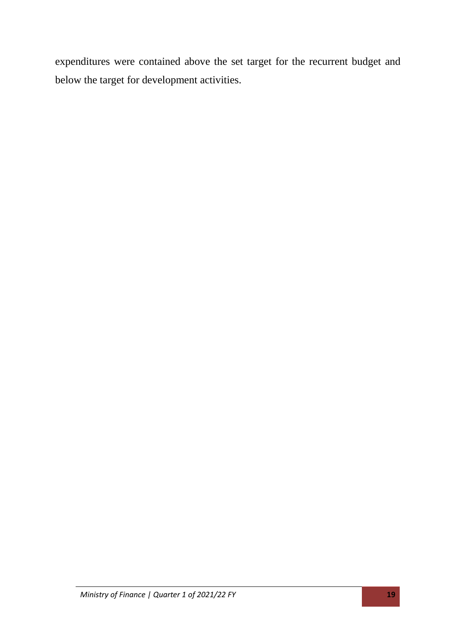expenditures were contained above the set target for the recurrent budget and below the target for development activities.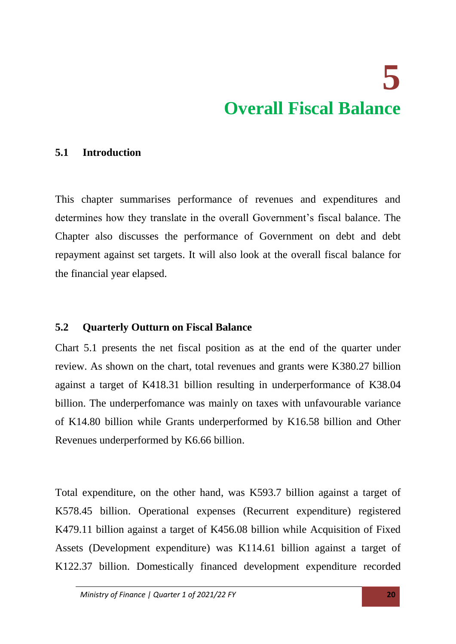# **5 Overall Fiscal Balance**

### <span id="page-19-1"></span><span id="page-19-0"></span>**5.1 Introduction**

This chapter summarises performance of revenues and expenditures and determines how they translate in the overall Government's fiscal balance. The Chapter also discusses the performance of Government on debt and debt repayment against set targets. It will also look at the overall fiscal balance for the financial year elapsed.

### <span id="page-19-2"></span>**5.2 Quarterly Outturn on Fiscal Balance**

Chart 5.1 presents the net fiscal position as at the end of the quarter under review. As shown on the chart, total revenues and grants were K380.27 billion against a target of K418.31 billion resulting in underperformance of K38.04 billion. The underperfomance was mainly on taxes with unfavourable variance of K14.80 billion while Grants underperformed by K16.58 billion and Other Revenues underperformed by K6.66 billion.

Total expenditure, on the other hand, was K593.7 billion against a target of K578.45 billion. Operational expenses (Recurrent expenditure) registered K479.11 billion against a target of K456.08 billion while Acquisition of Fixed Assets (Development expenditure) was K114.61 billion against a target of K122.37 billion. Domestically financed development expenditure recorded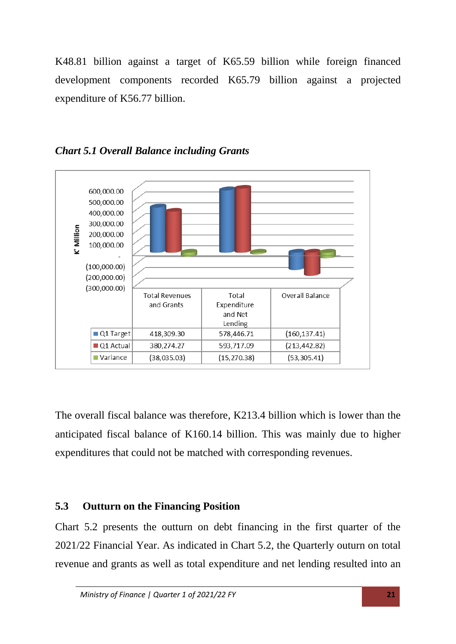K48.81 billion against a target of K65.59 billion while foreign financed development components recorded K65.79 billion against a projected expenditure of K56.77 billion.



*Chart 5.1 Overall Balance including Grants* 

The overall fiscal balance was therefore, K213.4 billion which is lower than the anticipated fiscal balance of K160.14 billion. This was mainly due to higher expenditures that could not be matched with corresponding revenues.

### <span id="page-20-0"></span>**5.3 Outturn on the Financing Position**

Chart 5.2 presents the outturn on debt financing in the first quarter of the 2021/22 Financial Year. As indicated in Chart 5.2, the Quarterly outurn on total revenue and grants as well as total expenditure and net lending resulted into an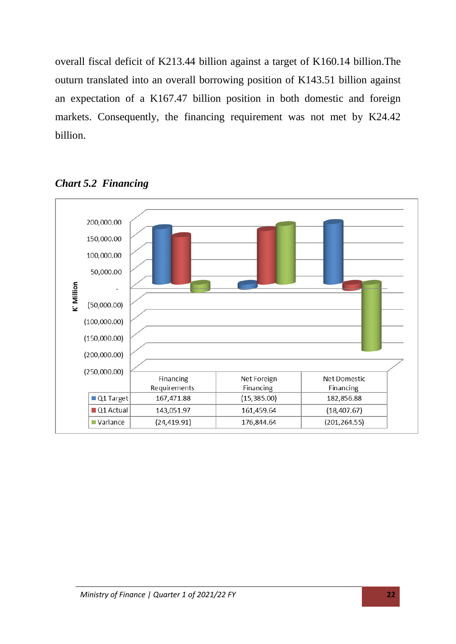overall fiscal deficit of K213.44 billion against a target of K160.14 billion.The outurn translated into an overall borrowing position of K143.51 billion against an expectation of a K167.47 billion position in both domestic and foreign markets. Consequently, the financing requirement was not met by K24.42 billion.



*Chart 5.2 Financing*